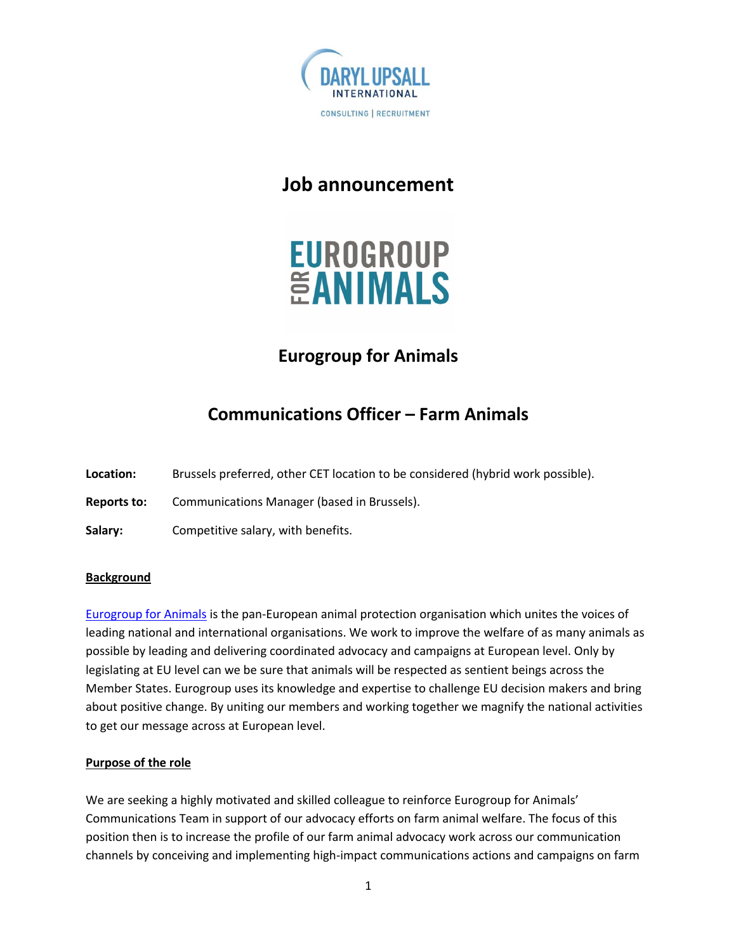

### **Job announcement**



# **Eurogroup for Animals**

# **Communications Officer – Farm Animals**

**Location:** Brussels preferred, other CET location to be considered (hybrid work possible).

**Reports to:** Communications Manager (based in Brussels).

**Salary:** Competitive salary, with benefits.

### **Background**

Eurogroup for Animals is the pan-European animal protection organisation which unites the voices of leading national and international organisations. We work to improve the welfare of as many animals as possible by leading and delivering coordinated advocacy and campaigns at European level. Only by legislating at EU level can we be sure that animals will be respected as sentient beings across the Member States. Eurogroup uses its knowledge and expertise to challenge EU decision makers and bring about positive change. By uniting our members and working together we magnify the national activities to get our message across at European level.

### **Purpose of the role**

We are seeking a highly motivated and skilled colleague to reinforce Eurogroup for Animals' Communications Team in support of our advocacy efforts on farm animal welfare. The focus of this position then is to increase the profile of our farm animal advocacy work across our communication channels by conceiving and implementing high-impact communications actions and campaigns on farm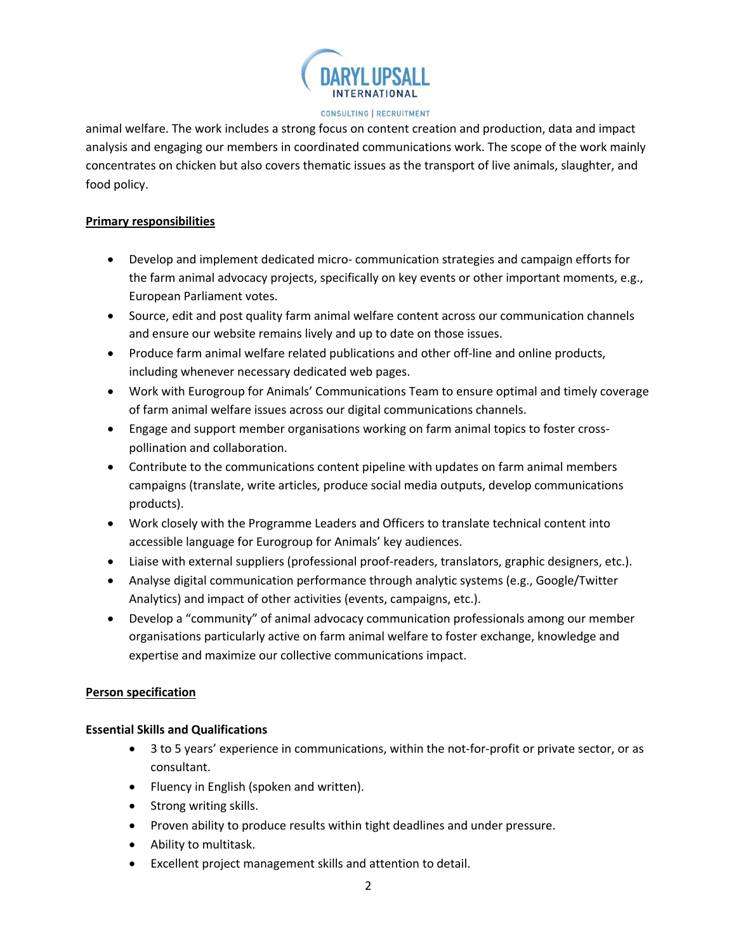

#### CONSULTING | RECRUITMENT

animal welfare. The work includes a strong focus on content creation and production, data and impact analysis and engaging our members in coordinated communications work. The scope of the work mainly concentrates on chicken but also covers thematic issues as the transport of live animals, slaughter, and food policy.

### **Primary responsibilities**

- Develop and implement dedicated micro- communication strategies and campaign efforts for the farm animal advocacy projects, specifically on key events or other important moments, e.g., European Parliament votes.
- Source, edit and post quality farm animal welfare content across our communication channels and ensure our website remains lively and up to date on those issues.
- Produce farm animal welfare related publications and other off-line and online products, including whenever necessary dedicated web pages.
- Work with Eurogroup for Animals' Communications Team to ensure optimal and timely coverage of farm animal welfare issues across our digital communications channels.
- Engage and support member organisations working on farm animal topics to foster crosspollination and collaboration.
- Contribute to the communications content pipeline with updates on farm animal members campaigns (translate, write articles, produce social media outputs, develop communications products).
- Work closely with the Programme Leaders and Officers to translate technical content into accessible language for Eurogroup for Animals' key audiences.
- Liaise with external suppliers (professional proof-readers, translators, graphic designers, etc.).
- Analyse digital communication performance through analytic systems (e.g., Google/Twitter Analytics) and impact of other activities (events, campaigns, etc.).
- Develop a "community" of animal advocacy communication professionals among our member organisations particularly active on farm animal welfare to foster exchange, knowledge and expertise and maximize our collective communications impact.

### **Person specification**

### **Essential Skills and Qualifications**

- 3 to 5 years' experience in communications, within the not-for-profit or private sector, or as consultant.
- Fluency in English (spoken and written).
- Strong writing skills.
- Proven ability to produce results within tight deadlines and under pressure.
- Ability to multitask.
- Excellent project management skills and attention to detail.